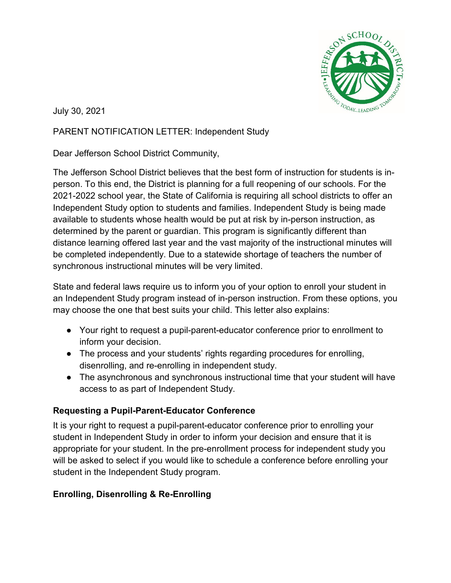

July 30, 2021

## PARENT NOTIFICATION LETTER: Independent Study

Dear Jefferson School District Community,

The Jefferson School District believes that the best form of instruction for students is inperson. To this end, the District is planning for a full reopening of our schools. For the 2021-2022 school year, the State of California is requiring all school districts to offer an Independent Study option to students and families. Independent Study is being made available to students whose health would be put at risk by in-person instruction, as determined by the parent or guardian. This program is significantly different than distance learning offered last year and the vast majority of the instructional minutes will be completed independently. Due to a statewide shortage of teachers the number of synchronous instructional minutes will be very limited.

State and federal laws require us to inform you of your option to enroll your student in an Independent Study program instead of in-person instruction. From these options, you may choose the one that best suits your child. This letter also explains:

- Your right to request a pupil-parent-educator conference prior to enrollment to inform your decision.
- The process and your students' rights regarding procedures for enrolling, disenrolling, and re-enrolling in independent study.
- The asynchronous and synchronous instructional time that your student will have access to as part of Independent Study.

## **Requesting a Pupil-Parent-Educator Conference**

It is your right to request a pupil-parent-educator conference prior to enrolling your student in Independent Study in order to inform your decision and ensure that it is appropriate for your student. In the pre-enrollment process for independent study you will be asked to select if you would like to schedule a conference before enrolling your student in the Independent Study program.

## **Enrolling, Disenrolling & Re-Enrolling**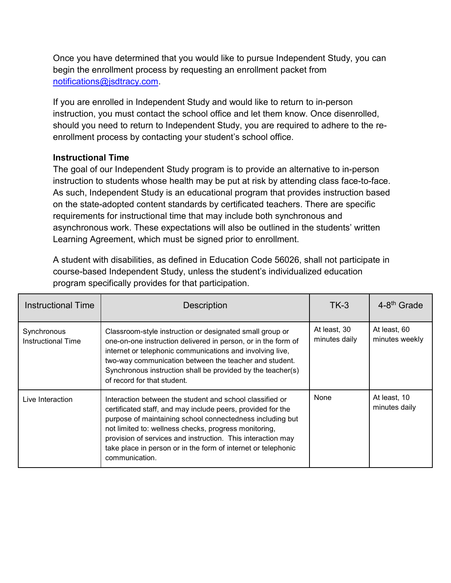Once you have determined that you would like to pursue Independent Study, you can begin the enrollment process by requesting an enrollment packet from [notifications@jsdtracy.com.](mailto:notifications@jsdtracy.com)

If you are enrolled in Independent Study and would like to return to in-person instruction, you must contact the school office and let them know. Once disenrolled, should you need to return to Independent Study, you are required to adhere to the reenrollment process by contacting your student's school office.

## **Instructional Time**

The goal of our Independent Study program is to provide an alternative to in-person instruction to students whose health may be put at risk by attending class face-to-face. As such, Independent Study is an educational program that provides instruction based on the state-adopted content standards by certificated teachers. There are specific requirements for instructional time that may include both synchronous and asynchronous work. These expectations will also be outlined in the students' written Learning Agreement, which must be signed prior to enrollment.

A student with disabilities, as defined in Education Code 56026, shall not participate in course-based Independent Study, unless the student's individualized education program specifically provides for that participation.

| <b>Instructional Time</b>                | <b>Description</b>                                                                                                                                                                                                                                                                                                                                                                              | $TK-3$                        | 4-8 <sup>th</sup> Grade        |
|------------------------------------------|-------------------------------------------------------------------------------------------------------------------------------------------------------------------------------------------------------------------------------------------------------------------------------------------------------------------------------------------------------------------------------------------------|-------------------------------|--------------------------------|
| Synchronous<br><b>Instructional Time</b> | Classroom-style instruction or designated small group or<br>one-on-one instruction delivered in person, or in the form of<br>internet or telephonic communications and involving live,<br>two-way communication between the teacher and student.<br>Synchronous instruction shall be provided by the teacher(s)<br>of record for that student.                                                  | At least, 30<br>minutes daily | At least, 60<br>minutes weekly |
| Live Interaction                         | Interaction between the student and school classified or<br>certificated staff, and may include peers, provided for the<br>purpose of maintaining school connectedness including but<br>not limited to: wellness checks, progress monitoring,<br>provision of services and instruction. This interaction may<br>take place in person or in the form of internet or telephonic<br>communication. | None                          | At least, 10<br>minutes daily  |